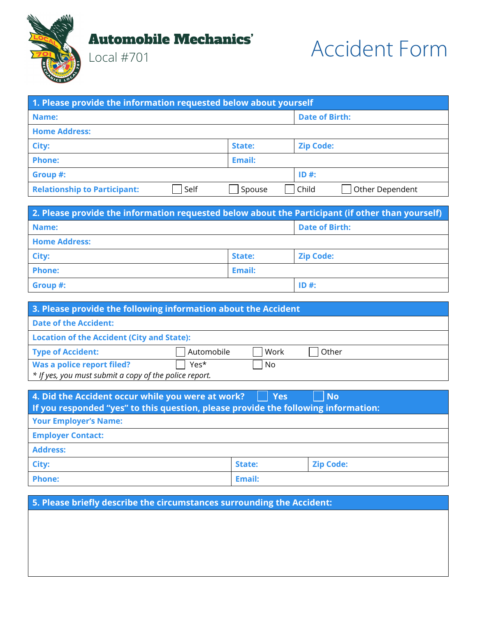

Local #701



| 1. Please provide the information requested below about yourself |      |        |                          |
|------------------------------------------------------------------|------|--------|--------------------------|
| Name:                                                            |      |        | <b>Date of Birth:</b>    |
| <b>Home Address:</b>                                             |      |        |                          |
| City:                                                            |      | State: | <b>Zip Code:</b>         |
| <b>Phone:</b>                                                    |      | Email: |                          |
| Group #:                                                         |      |        | $ID#$ :                  |
| <b>Relationship to Participant:</b>                              | Self | Spouse | Child<br>Other Dependent |

| 2. Please provide the information requested below about the Participant (if other than yourself) |               |                       |
|--------------------------------------------------------------------------------------------------|---------------|-----------------------|
| Name:                                                                                            |               | <b>Date of Birth:</b> |
| <b>Home Address:</b>                                                                             |               |                       |
| City:                                                                                            | <b>State:</b> | <b>Zip Code:</b>      |
| <b>Phone:</b><br>Email:                                                                          |               |                       |
| Group #:<br>$ID#$ :                                                                              |               |                       |

| 3. Please provide the following information about the Accident |            |      |       |
|----------------------------------------------------------------|------------|------|-------|
| <b>Date of the Accident:</b>                                   |            |      |       |
| <b>Location of the Accident (City and State):</b>              |            |      |       |
| <b>Type of Accident:</b>                                       | Automobile | Work | Other |
| Was a police report filed?                                     | Yes*       | l No |       |
| * If yes, you must submit a copy of the police report.         |            |      |       |

| 4. Did the Accident occur while you were at work?<br><b>Yes</b><br>  No<br>If you responded "yes" to this question, please provide the following information: |  |  |  |
|---------------------------------------------------------------------------------------------------------------------------------------------------------------|--|--|--|
| <b>Your Employer's Name:</b>                                                                                                                                  |  |  |  |
| <b>Employer Contact:</b>                                                                                                                                      |  |  |  |
| <b>Address:</b>                                                                                                                                               |  |  |  |
| City:<br><b>Zip Code:</b><br>State:                                                                                                                           |  |  |  |
| <b>Phone:</b><br>Email:                                                                                                                                       |  |  |  |

**5. Please briefly describe the circumstances surrounding the Accident:**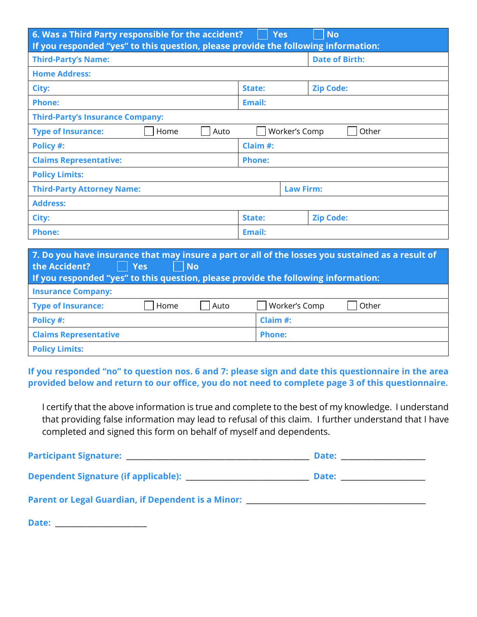| 6. Was a Third Party responsible for the accident?<br><b>No</b><br><b>Yes</b><br>If you responded "yes" to this question, please provide the following information: |                            |                       |  |
|---------------------------------------------------------------------------------------------------------------------------------------------------------------------|----------------------------|-----------------------|--|
| <b>Third-Party's Name:</b>                                                                                                                                          |                            | <b>Date of Birth:</b> |  |
| <b>Home Address:</b>                                                                                                                                                |                            |                       |  |
| City:                                                                                                                                                               | <b>Zip Code:</b><br>State: |                       |  |
| <b>Phone:</b><br><b>Email:</b>                                                                                                                                      |                            |                       |  |
| <b>Third-Party's Insurance Company:</b>                                                                                                                             |                            |                       |  |
| <b>Type of Insurance:</b><br>Home<br>Auto                                                                                                                           | Worker's Comp<br>Other     |                       |  |
| Claim #:<br>Policy #:                                                                                                                                               |                            |                       |  |
| <b>Claims Representative:</b><br><b>Phone:</b>                                                                                                                      |                            |                       |  |
| <b>Policy Limits:</b>                                                                                                                                               |                            |                       |  |
| <b>Third-Party Attorney Name:</b><br><b>Law Firm:</b>                                                                                                               |                            |                       |  |
| <b>Address:</b>                                                                                                                                                     |                            |                       |  |
| City:                                                                                                                                                               | <b>Zip Code:</b><br>State: |                       |  |
| <b>Phone:</b><br>Email:                                                                                                                                             |                            |                       |  |
| 7. De veu have incurrance that may incure a nart exall of the lecces veu custoined as a recult of                                                                   |                            |                       |  |

| 7. Do you have insurance that may insure a part or all of the losses you sustained as a result of<br><b>Yes</b><br>No.<br>the Accident?<br>If you responded "yes" to this question, please provide the following information: |      |      |               |       |
|-------------------------------------------------------------------------------------------------------------------------------------------------------------------------------------------------------------------------------|------|------|---------------|-------|
| <b>Insurance Company:</b>                                                                                                                                                                                                     |      |      |               |       |
| <b>Type of Insurance:</b>                                                                                                                                                                                                     | Home | Auto | Worker's Comp | Other |
| Policy #:                                                                                                                                                                                                                     |      |      | Claim $#$ :   |       |
| <b>Claims Representative</b>                                                                                                                                                                                                  |      |      | <b>Phone:</b> |       |
| <b>Policy Limits:</b>                                                                                                                                                                                                         |      |      |               |       |

**If you responded "no" to question nos. 6 and 7: please sign and date this questionnaire in the area provided below and return to our office, you do not need to complete page 3 of this questionnaire.** 

I certify that the above information is true and complete to the best of my knowledge. I understand that providing false information may lead to refusal of this claim. I further understand that I have completed and signed this form on behalf of myself and dependents.

| Parent or Legal Guardian, if Dependent is a Minor: _____________________________ |  |
|----------------------------------------------------------------------------------|--|
| Date:                                                                            |  |